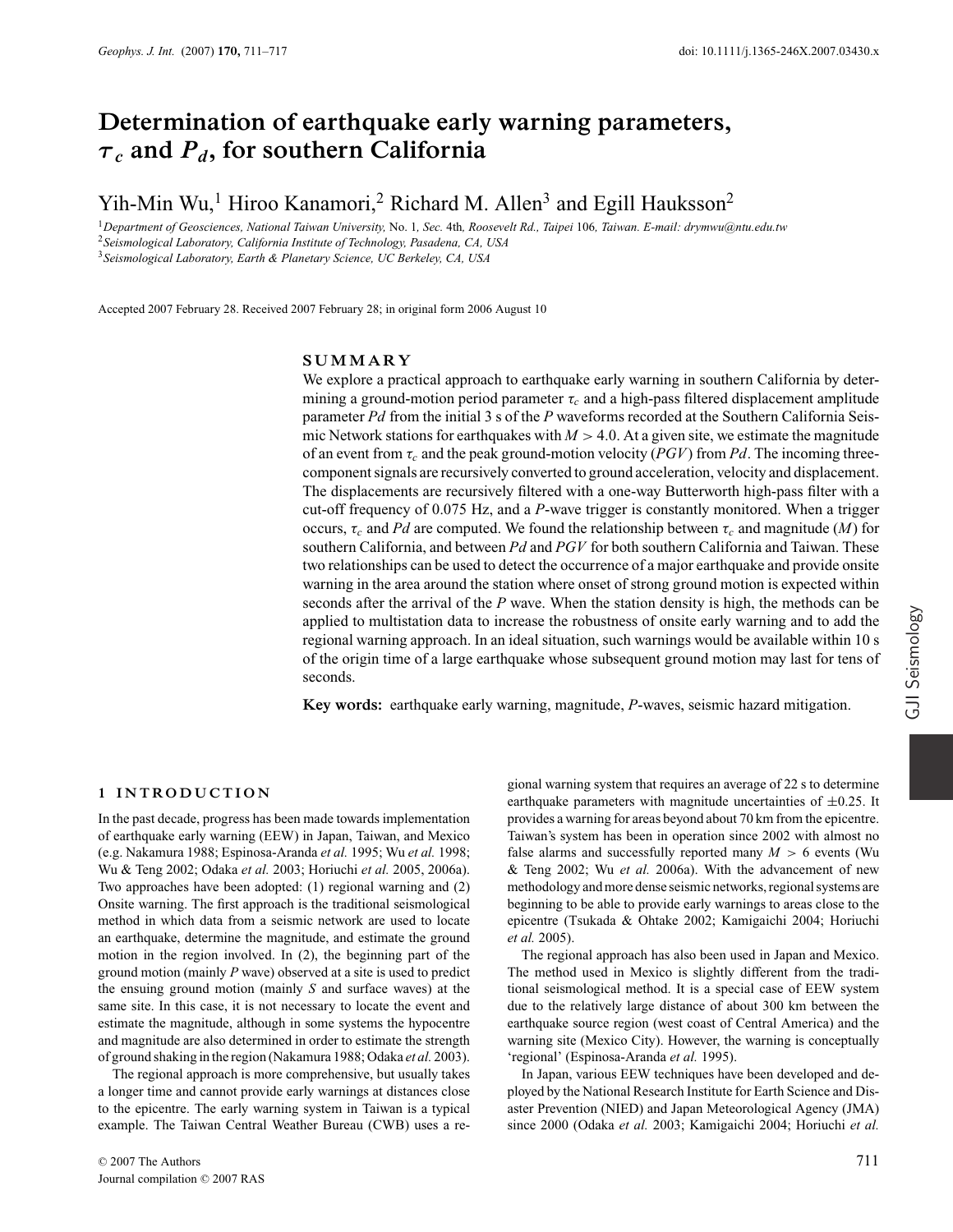# **Determination of earthquake early warning parameters,** *τ <sup>c</sup>* **and** *Pd***, for southern California**

## Yih-Min Wu,<sup>1</sup> Hiroo Kanamori,<sup>2</sup> Richard M. Allen<sup>3</sup> and Egill Hauksson<sup>2</sup>

<sup>1</sup>*Department of Geosciences, National Taiwan University,* No. 1*, Sec.* 4th*, Roosevelt Rd., Taipei* 106*, Taiwan. E-mail: drymwu@ntu.edu.tw* <sup>2</sup>*Seismological Laboratory, California Institute of Technology, Pasadena, CA, USA* <sup>3</sup>*Seismological Laboratory, Earth & Planetary Science, UC Berkeley, CA, USA*

Accepted 2007 February 28. Received 2007 February 28; in original form 2006 August 10

## **SUMMARY**

We explore a practical approach to earthquake early warning in southern California by determining a ground-motion period parameter  $\tau_c$  and a high-pass filtered displacement amplitude parameter *Pd* from the initial 3 s of the *P* waveforms recorded at the Southern California Seismic Network stations for earthquakes with  $M > 4.0$ . At a given site, we estimate the magnitude of an event from τ*<sup>c</sup>* and the peak ground-motion velocity (*PGV*) from *Pd*. The incoming threecomponent signals are recursively converted to ground acceleration, velocity and displacement. The displacements are recursively filtered with a one-way Butterworth high-pass filter with a cut-off frequency of 0.075 Hz, and a *P*-wave trigger is constantly monitored. When a trigger occurs,  $\tau_c$  and *Pd* are computed. We found the relationship between  $\tau_c$  and magnitude (*M*) for southern California, and between *Pd* and *PGV* for both southern California and Taiwan. These two relationships can be used to detect the occurrence of a major earthquake and provide onsite warning in the area around the station where onset of strong ground motion is expected within seconds after the arrival of the *P* wave. When the station density is high, the methods can be applied to multistation data to increase the robustness of onsite early warning and to add the regional warning approach. In an ideal situation, such warnings would be available within 10 s of the origin time of a large earthquake whose subsequent ground motion may last for tens of seconds.

**Key words:** earthquake early warning, magnitude, *P*-waves, seismic hazard mitigation.

## **1 INTRODUCTION**

In the past decade, progress has been made towards implementation of earthquake early warning (EEW) in Japan, Taiwan, and Mexico (e.g. Nakamura 1988; Espinosa-Aranda *et al.* 1995; Wu *et al.* 1998; Wu & Teng 2002; Odaka *et al.* 2003; Horiuchi *et al.* 2005, 2006a). Two approaches have been adopted: (1) regional warning and (2) Onsite warning. The first approach is the traditional seismological method in which data from a seismic network are used to locate an earthquake, determine the magnitude, and estimate the ground motion in the region involved. In (2), the beginning part of the ground motion (mainly *P* wave) observed at a site is used to predict the ensuing ground motion (mainly *S* and surface waves) at the same site. In this case, it is not necessary to locate the event and estimate the magnitude, although in some systems the hypocentre and magnitude are also determined in order to estimate the strength of ground shaking in the region (Nakamura 1988; Odaka *et al.* 2003).

The regional approach is more comprehensive, but usually takes a longer time and cannot provide early warnings at distances close to the epicentre. The early warning system in Taiwan is a typical example. The Taiwan Central Weather Bureau (CWB) uses a re-

gional warning system that requires an average of 22 s to determine earthquake parameters with magnitude uncertainties of  $\pm 0.25$ . It provides a warning for areas beyond about 70 km from the epicentre. Taiwan's system has been in operation since 2002 with almost no false alarms and successfully reported many  $M > 6$  events (Wu & Teng 2002; Wu *et al.* 2006a). With the advancement of new methodology and more dense seismic networks, regional systems are beginning to be able to provide early warnings to areas close to the epicentre (Tsukada & Ohtake 2002; Kamigaichi 2004; Horiuchi *et al.* 2005).

The regional approach has also been used in Japan and Mexico. The method used in Mexico is slightly different from the traditional seismological method. It is a special case of EEW system due to the relatively large distance of about 300 km between the earthquake source region (west coast of Central America) and the warning site (Mexico City). However, the warning is conceptually 'regional' (Espinosa-Aranda *et al.* 1995).

In Japan, various EEW techniques have been developed and deployed by the National Research Institute for Earth Science and Disaster Prevention (NIED) and Japan Meteorological Agency (JMA) since 2000 (Odaka *et al.* 2003; Kamigaichi 2004; Horiuchi *et al.*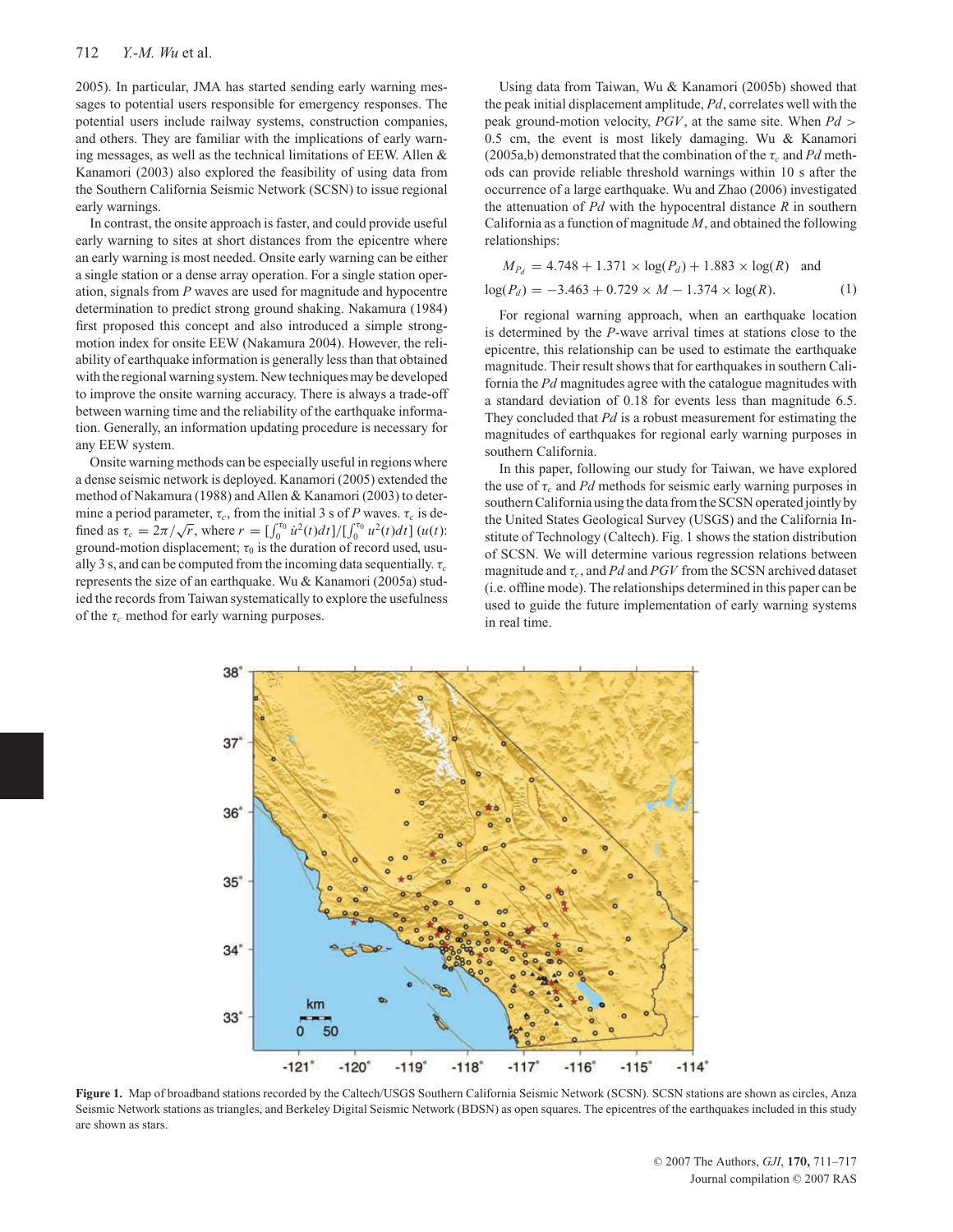2005). In particular, JMA has started sending early warning messages to potential users responsible for emergency responses. The potential users include railway systems, construction companies, and others. They are familiar with the implications of early warning messages, as well as the technical limitations of EEW. Allen & Kanamori (2003) also explored the feasibility of using data from the Southern California Seismic Network (SCSN) to issue regional early warnings.

In contrast, the onsite approach is faster, and could provide useful early warning to sites at short distances from the epicentre where an early warning is most needed. Onsite early warning can be either a single station or a dense array operation. For a single station operation, signals from *P* waves are used for magnitude and hypocentre determination to predict strong ground shaking. Nakamura (1984) first proposed this concept and also introduced a simple strongmotion index for onsite EEW (Nakamura 2004). However, the reliability of earthquake information is generally less than that obtained with the regional warning system. New techniques may be developed to improve the onsite warning accuracy. There is always a trade-off between warning time and the reliability of the earthquake information. Generally, an information updating procedure is necessary for any EEW system.

Onsite warning methods can be especially useful in regions where a dense seismic network is deployed. Kanamori (2005) extended the method of Nakamura (1988) and Allen & Kanamori (2003) to determine a period parameter,  $\tau_c$ , from the initial 3 s of *P* waves.  $\tau_c$  is defined as  $\tau_c = 2\pi/\sqrt{r}$ , where  $r = \left[\int_0^{\tau_0} \dot{u}^2(t)dt\right] / \left[\int_0^{\tau_0} u^2(t)dt\right] (u(t))$ : ground-motion displacement;  $\tau_0$  is the duration of record used, usually 3 s, and can be computed from the incoming data sequentially. τ*<sup>c</sup>* represents the size of an earthquake. Wu & Kanamori (2005a) studied the records from Taiwan systematically to explore the usefulness of the  $\tau_c$  method for early warning purposes.

Using data from Taiwan, Wu & Kanamori (2005b) showed that the peak initial displacement amplitude, *Pd*, correlates well with the peak ground-motion velocity, *PGV*, at the same site. When *Pd* > 0.5 cm, the event is most likely damaging. Wu & Kanamori (2005a,b) demonstrated that the combination of the  $\tau_c$  and Pd methods can provide reliable threshold warnings within 10 s after the occurrence of a large earthquake. Wu and Zhao (2006) investigated the attenuation of *Pd* with the hypocentral distance *R* in southern California as a function of magnitude *M*, and obtained the following relationships:

$$
M_{P_d} = 4.748 + 1.371 \times \log(P_d) + 1.883 \times \log(R) \text{ and}
$$
  

$$
\log(P_d) = -3.463 + 0.729 \times M - 1.374 \times \log(R). \tag{1}
$$

For regional warning approach, when an earthquake location is determined by the *P*-wave arrival times at stations close to the epicentre, this relationship can be used to estimate the earthquake magnitude. Their result shows that for earthquakes in southern California the *Pd* magnitudes agree with the catalogue magnitudes with a standard deviation of 0.18 for events less than magnitude 6.5. They concluded that *Pd* is a robust measurement for estimating the magnitudes of earthquakes for regional early warning purposes in southern California.

In this paper, following our study for Taiwan, we have explored the use of τ*<sup>c</sup>* and *Pd* methods for seismic early warning purposes in southern California using the data from the SCSN operated jointly by the United States Geological Survey (USGS) and the California Institute of Technology (Caltech). Fig. 1 shows the station distribution of SCSN. We will determine various regression relations between magnitude and  $\tau_c$ , and *Pd* and *PGV* from the SCSN archived dataset (i.e. offline mode). The relationships determined in this paper can be used to guide the future implementation of early warning systems in real time.



**Figure 1.** Map of broadband stations recorded by the Caltech/USGS Southern California Seismic Network (SCSN). SCSN stations are shown as circles, Anza Seismic Network stations as triangles, and Berkeley Digital Seismic Network (BDSN) as open squares. The epicentres of the earthquakes included in this study are shown as stars.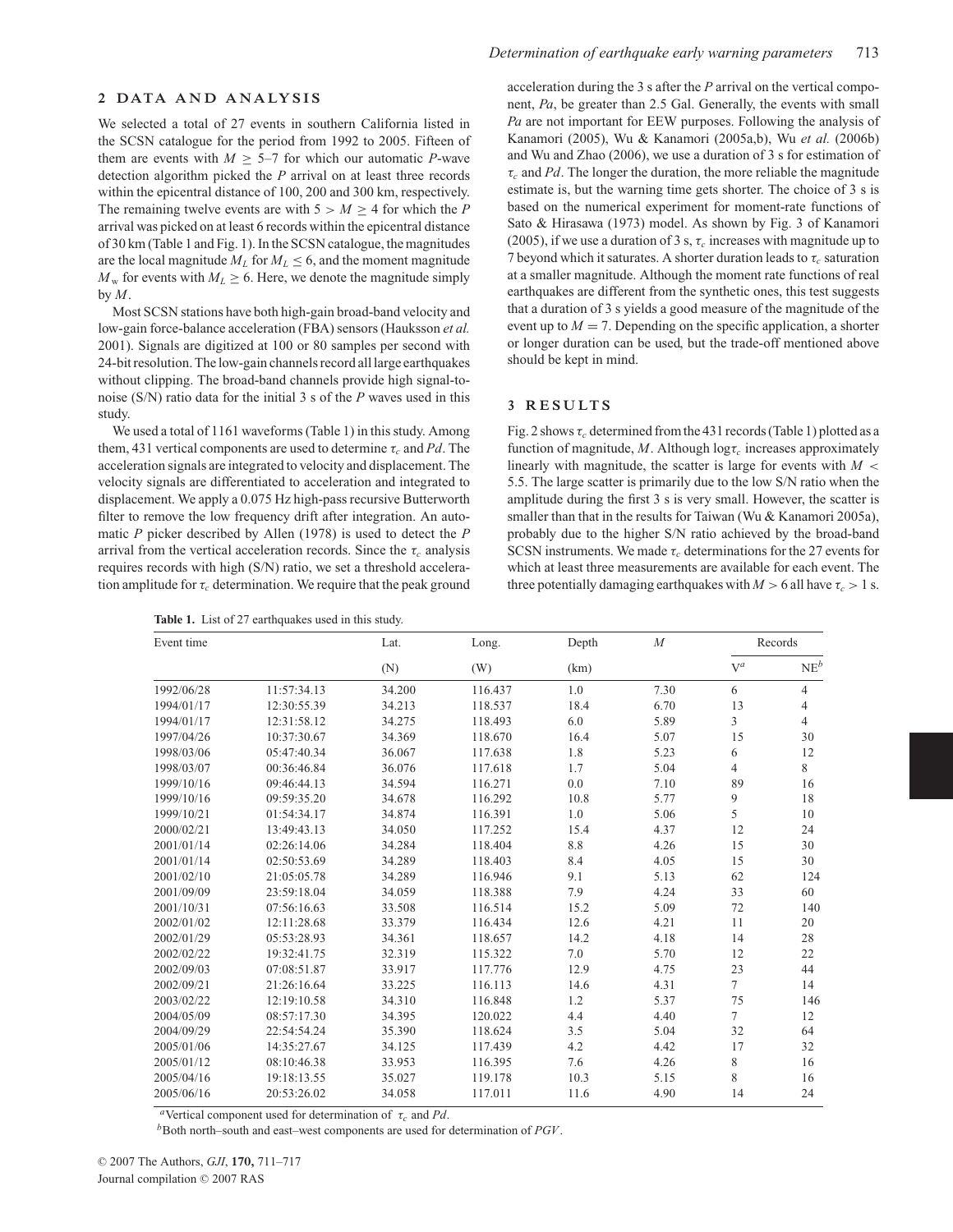#### **2 DATA AND ANALYSIS**

We selected a total of 27 events in southern California listed in the SCSN catalogue for the period from 1992 to 2005. Fifteen of them are events with  $M \geq 5-7$  for which our automatic *P*-wave detection algorithm picked the *P* arrival on at least three records within the epicentral distance of 100, 200 and 300 km, respectively. The remaining twelve events are with  $5 > M > 4$  for which the *P* arrival was picked on at least 6 records within the epicentral distance of 30 km (Table 1 and Fig. 1). In the SCSN catalogue, the magnitudes are the local magnitude  $M_L$  for  $M_L \leq 6$ , and the moment magnitude  $M_w$  for events with  $M_L \geq 6$ . Here, we denote the magnitude simply by *M*.

Most SCSN stations have both high-gain broad-band velocity and low-gain force-balance acceleration (FBA) sensors (Hauksson *et al.* 2001). Signals are digitized at 100 or 80 samples per second with 24-bit resolution. The low-gain channels record all large earthquakes without clipping. The broad-band channels provide high signal-tonoise (S/N) ratio data for the initial 3 s of the *P* waves used in this study.

We used a total of 1161 waveforms (Table 1) in this study. Among them, 431 vertical components are used to determine  $\tau_c$  and Pd. The acceleration signals are integrated to velocity and displacement. The velocity signals are differentiated to acceleration and integrated to displacement. We apply a 0.075 Hz high-pass recursive Butterworth filter to remove the low frequency drift after integration. An automatic *P* picker described by Allen (1978) is used to detect the *P* arrival from the vertical acceleration records. Since the  $\tau_c$  analysis requires records with high (S/N) ratio, we set a threshold acceleration amplitude for  $\tau_c$  determination. We require that the peak ground

**Table 1.** List of 27 earthquakes used in this study.

acceleration during the 3 s after the *P* arrival on the vertical component, *Pa*, be greater than 2.5 Gal. Generally, the events with small *Pa* are not important for EEW purposes. Following the analysis of Kanamori (2005), Wu & Kanamori (2005a,b), Wu *et al.* (2006b) and Wu and Zhao (2006), we use a duration of 3 s for estimation of  $\tau_c$  and *Pd*. The longer the duration, the more reliable the magnitude estimate is, but the warning time gets shorter. The choice of 3 s is based on the numerical experiment for moment-rate functions of Sato & Hirasawa (1973) model. As shown by Fig. 3 of Kanamori (2005), if we use a duration of 3 s,  $\tau_c$  increases with magnitude up to 7 beyond which it saturates. A shorter duration leads to  $\tau_c$  saturation at a smaller magnitude. Although the moment rate functions of real earthquakes are different from the synthetic ones, this test suggests that a duration of 3 s yields a good measure of the magnitude of the event up to  $M = 7$ . Depending on the specific application, a shorter or longer duration can be used, but the trade-off mentioned above should be kept in mind.

#### **3 RESULTS**

Fig. 2 shows  $\tau_c$  determined from the 431 records (Table 1) plotted as a function of magnitude,  $M$ . Although  $log\tau_c$  increases approximately linearly with magnitude, the scatter is large for events with  $M <$ 5.5. The large scatter is primarily due to the low S/N ratio when the amplitude during the first 3 s is very small. However, the scatter is smaller than that in the results for Taiwan (Wu & Kanamori 2005a), probably due to the higher S/N ratio achieved by the broad-band SCSN instruments. We made  $\tau_c$  determinations for the 27 events for which at least three measurements are available for each event. The three potentially damaging earthquakes with  $M > 6$  all have  $\tau_c > 1$  s.

| Event time |             | Lat.<br>(N) | Long.<br>(W) | Depth<br>(km) | $\boldsymbol{M}$ | Records        |                 |
|------------|-------------|-------------|--------------|---------------|------------------|----------------|-----------------|
|            |             |             |              |               |                  | $V^a$          | NE <sup>b</sup> |
| 1992/06/28 | 11:57:34.13 | 34.200      | 116.437      | 1.0           | 7.30             | 6              | $\overline{4}$  |
| 1994/01/17 | 12:30:55.39 | 34.213      | 118.537      | 18.4          | 6.70             | 13             | $\overline{4}$  |
| 1994/01/17 | 12:31:58.12 | 34.275      | 118.493      | 6.0           | 5.89             | 3              | $\overline{4}$  |
| 1997/04/26 | 10:37:30.67 | 34.369      | 118.670      | 16.4          | 5.07             | 15             | 30              |
| 1998/03/06 | 05:47:40.34 | 36.067      | 117.638      | 1.8           | 5.23             | 6              | 12              |
| 1998/03/07 | 00:36:46.84 | 36.076      | 117.618      | 1.7           | 5.04             | $\overline{4}$ | 8               |
| 1999/10/16 | 09:46:44.13 | 34.594      | 116.271      | 0.0           | 7.10             | 89             | 16              |
| 1999/10/16 | 09:59:35.20 | 34.678      | 116.292      | 10.8          | 5.77             | 9              | 18              |
| 1999/10/21 | 01:54:34.17 | 34.874      | 116.391      | 1.0           | 5.06             | 5              | 10              |
| 2000/02/21 | 13:49:43.13 | 34.050      | 117.252      | 15.4          | 4.37             | 12             | 24              |
| 2001/01/14 | 02:26:14.06 | 34.284      | 118.404      | 8.8           | 4.26             | 15             | 30              |
| 2001/01/14 | 02:50:53.69 | 34.289      | 118.403      | 8.4           | 4.05             | 15             | 30              |
| 2001/02/10 | 21:05:05.78 | 34.289      | 116.946      | 9.1           | 5.13             | 62             | 124             |
| 2001/09/09 | 23:59:18.04 | 34.059      | 118.388      | 7.9           | 4.24             | 33             | 60              |
| 2001/10/31 | 07:56:16.63 | 33.508      | 116.514      | 15.2          | 5.09             | 72             | 140             |
| 2002/01/02 | 12:11:28.68 | 33.379      | 116.434      | 12.6          | 4.21             | 11             | 20              |
| 2002/01/29 | 05:53:28.93 | 34.361      | 118.657      | 14.2          | 4.18             | 14             | 28              |
| 2002/02/22 | 19:32:41.75 | 32.319      | 115.322      | 7.0           | 5.70             | 12             | 22              |
| 2002/09/03 | 07:08:51.87 | 33.917      | 117.776      | 12.9          | 4.75             | 23             | 44              |
| 2002/09/21 | 21:26:16.64 | 33.225      | 116.113      | 14.6          | 4.31             | $\tau$         | 14              |
| 2003/02/22 | 12:19:10.58 | 34.310      | 116.848      | 1.2           | 5.37             | 75             | 146             |
| 2004/05/09 | 08:57:17.30 | 34.395      | 120.022      | 4.4           | 4.40             | $\tau$         | 12              |
| 2004/09/29 | 22:54:54.24 | 35.390      | 118.624      | 3.5           | 5.04             | 32             | 64              |
| 2005/01/06 | 14:35:27.67 | 34.125      | 117.439      | 4.2           | 4.42             | 17             | 32              |
| 2005/01/12 | 08:10:46.38 | 33.953      | 116.395      | 7.6           | 4.26             | 8              | 16              |
| 2005/04/16 | 19:18:13.55 | 35.027      | 119.178      | 10.3          | 5.15             | 8              | 16              |
| 2005/06/16 | 20:53:26.02 | 34.058      | 117.011      | 11.6          | 4.90             | 14             | 24              |

*a*Vertical component used for determination of  $\tau_c$  and *Pd*. *b*Both north–south and east–west components are used for determination of *PGV*.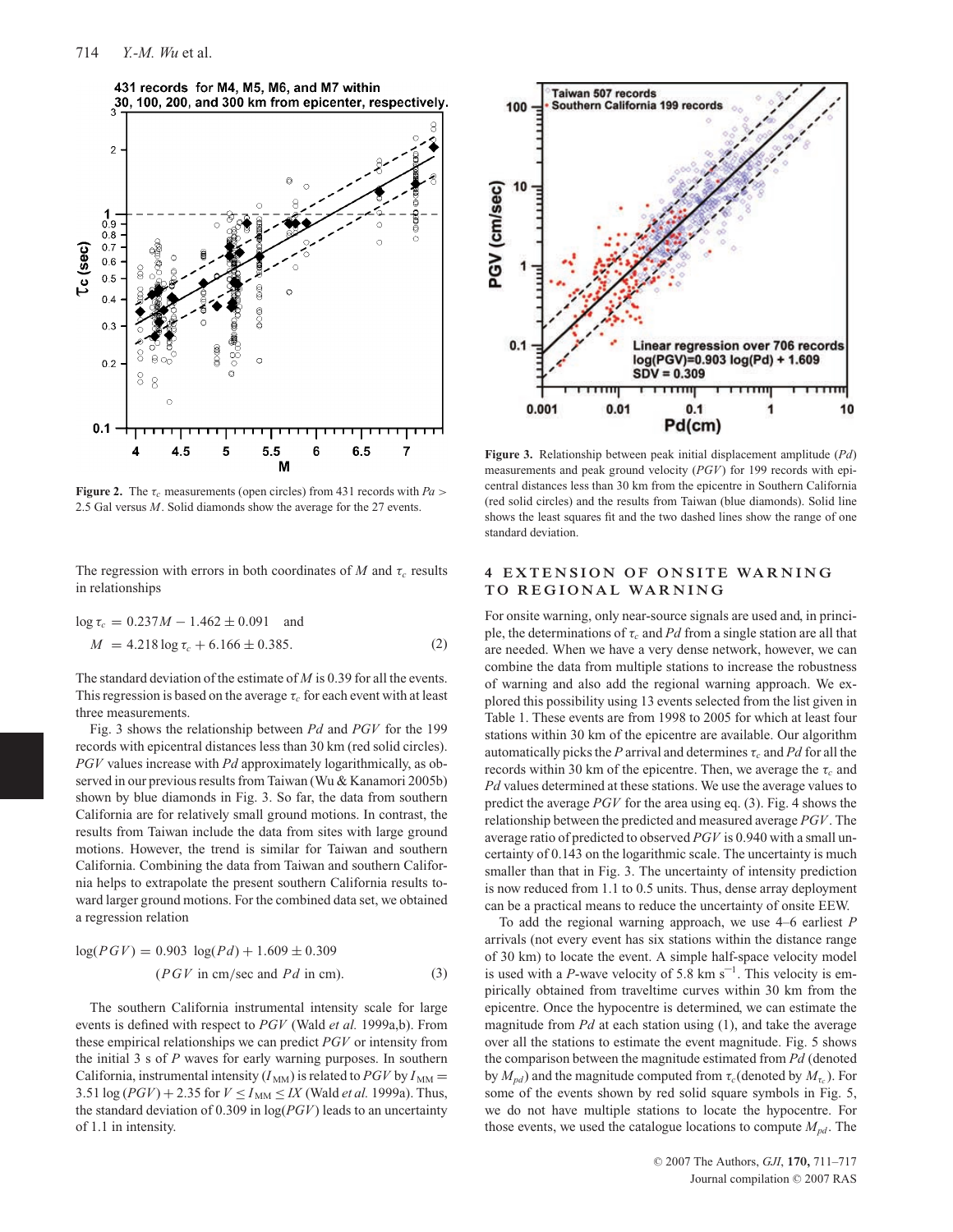

**Figure 2.** The  $\tau_c$  measurements (open circles) from 431 records with  $Pa >$ 2.5 Gal versus *M*. Solid diamonds show the average for the 27 events.

The regression with errors in both coordinates of *M* and  $\tau_c$  results in relationships

$$
\log \tau_c = 0.237M - 1.462 \pm 0.091 \text{ and}
$$
  

$$
M = 4.218 \log \tau_c + 6.166 \pm 0.385.
$$
 (2)

The standard deviation of the estimate of *M* is 0.39 for all the events. This regression is based on the average  $\tau_c$  for each event with at least three measurements.

Fig. 3 shows the relationship between *Pd* and *PGV* for the 199 records with epicentral distances less than 30 km (red solid circles). *PGV* values increase with *Pd* approximately logarithmically, as observed in our previous results from Taiwan (Wu & Kanamori 2005b) shown by blue diamonds in Fig. 3. So far, the data from southern California are for relatively small ground motions. In contrast, the results from Taiwan include the data from sites with large ground motions. However, the trend is similar for Taiwan and southern California. Combining the data from Taiwan and southern California helps to extrapolate the present southern California results toward larger ground motions. For the combined data set, we obtained a regression relation

$$
log(PGV) = 0.903 log(Pd) + 1.609 \pm 0.309
$$
  
(PGV in cm/sec and Pd in cm). (3)

The southern California instrumental intensity scale for large events is defined with respect to *PGV* (Wald *et al.* 1999a,b). From these empirical relationships we can predict *PGV* or intensity from the initial 3 s of *P* waves for early warning purposes. In southern California, instrumental intensity  $(I_{MM})$  is related to *PGV* by  $I_{MM}$  = 3.51  $\log (PGV) + 2.35$  for  $V \le I_{MM} \le IX$  (Wald *et al.* 1999a). Thus, the standard deviation of 0.309 in log(*PGV*) leads to an uncertainty of 1.1 in intensity.



**Figure 3.** Relationship between peak initial displacement amplitude (*Pd*) measurements and peak ground velocity (*PGV*) for 199 records with epicentral distances less than 30 km from the epicentre in Southern California (red solid circles) and the results from Taiwan (blue diamonds). Solid line shows the least squares fit and the two dashed lines show the range of one standard deviation.

## **4 EXTENSION OF ONSITE WARNING TO REGIONAL WARNING**

For onsite warning, only near-source signals are used and, in principle, the determinations of  $\tau_c$  and Pd from a single station are all that are needed. When we have a very dense network, however, we can combine the data from multiple stations to increase the robustness of warning and also add the regional warning approach. We explored this possibility using 13 events selected from the list given in Table 1. These events are from 1998 to 2005 for which at least four stations within 30 km of the epicentre are available. Our algorithm automatically picks the *P* arrival and determines  $\tau_c$  and *Pd* for all the records within 30 km of the epicentre. Then, we average the  $\tau_c$  and *Pd* values determined at these stations. We use the average values to predict the average *PGV* for the area using eq. (3). Fig. 4 shows the relationship between the predicted and measured average *PGV*. The average ratio of predicted to observed *PGV* is 0.940 with a small uncertainty of 0.143 on the logarithmic scale. The uncertainty is much smaller than that in Fig. 3. The uncertainty of intensity prediction is now reduced from 1.1 to 0.5 units. Thus, dense array deployment can be a practical means to reduce the uncertainty of onsite EEW.

To add the regional warning approach, we use 4–6 earliest *P* arrivals (not every event has six stations within the distance range of 30 km) to locate the event. A simple half-space velocity model is used with a *P*-wave velocity of 5.8 km  $s^{-1}$ . This velocity is empirically obtained from traveltime curves within 30 km from the epicentre. Once the hypocentre is determined, we can estimate the magnitude from *Pd* at each station using (1), and take the average over all the stations to estimate the event magnitude. Fig. 5 shows the comparison between the magnitude estimated from *Pd* (denoted by  $M_{pd}$ ) and the magnitude computed from  $\tau_c$  (denoted by  $M_{\tau_c}$ ). For some of the events shown by red solid square symbols in Fig. 5, we do not have multiple stations to locate the hypocentre. For those events, we used the catalogue locations to compute  $M_{pd}$ . The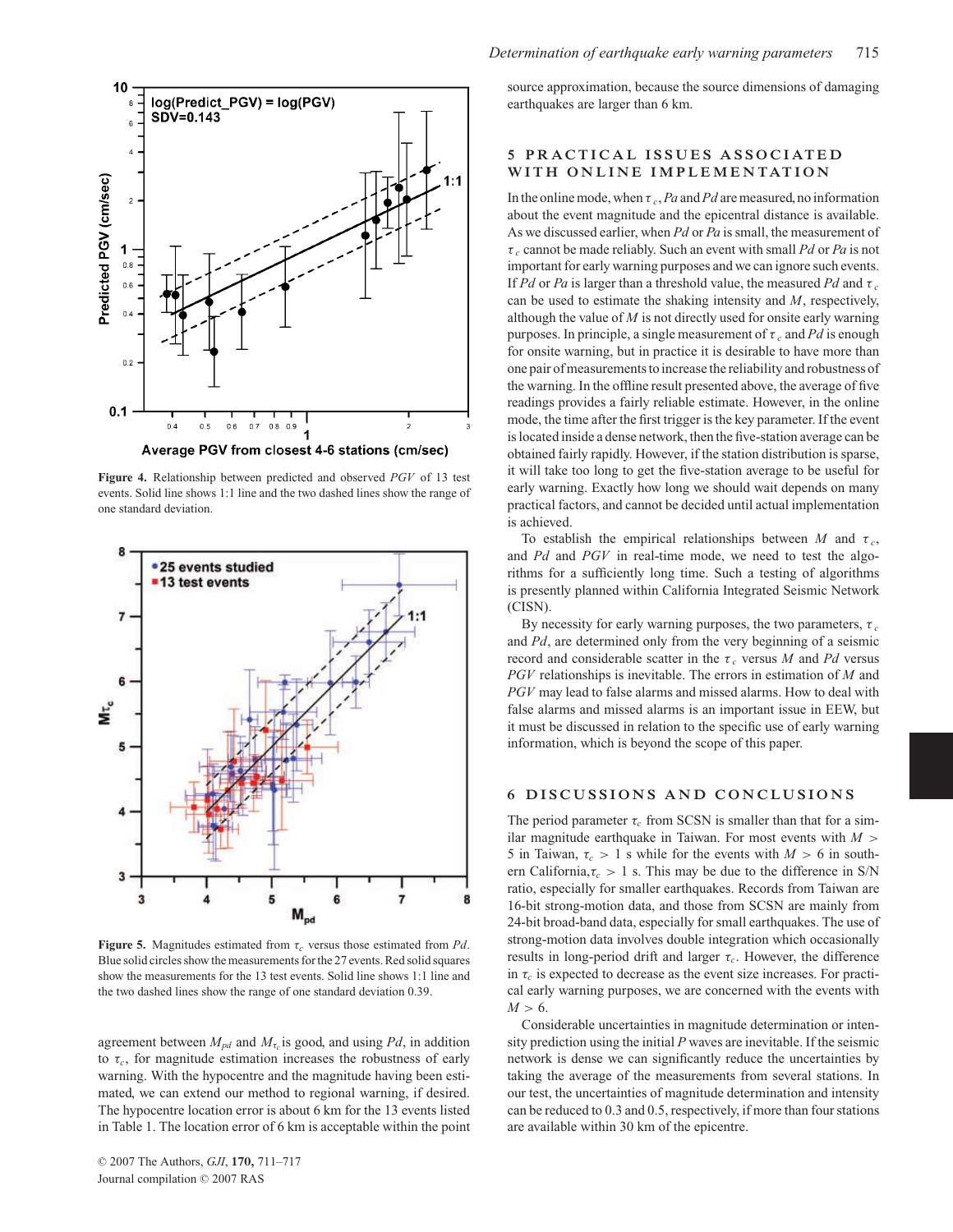

**Figure 4.** Relationship between predicted and observed *PGV* of 13 test events. Solid line shows 1:1 line and the two dashed lines show the range of one standard deviation.



**Figure 5.** Magnitudes estimated from  $\tau_c$  versus those estimated from *Pd*. Blue solid circles show the measurements for the 27 events. Red solid squares show the measurements for the 13 test events. Solid line shows 1:1 line and the two dashed lines show the range of one standard deviation 0.39.

agreement between  $M_{pd}$  and  $M_{\tau_c}$  is good, and using Pd, in addition to  $\tau_c$ , for magnitude estimation increases the robustness of early warning. With the hypocentre and the magnitude having been estimated, we can extend our method to regional warning, if desired. The hypocentre location error is about 6 km for the 13 events listed in Table 1. The location error of 6 km is acceptable within the point

source approximation, because the source dimensions of damaging earthquakes are larger than 6 km.

## **5 PRACTICAL ISSUES ASSOCIATED WITH ONLINE IMPLEMENTATION**

In the online mode, when τ *<sup>c</sup>*,*Pa* and*Pd* are measured, no information about the event magnitude and the epicentral distance is available. As we discussed earlier, when *Pd* or *Pa* is small, the measurement of τ *<sup>c</sup>* cannot be made reliably. Such an event with small *Pd* or *Pa* is not important for early warning purposes and we can ignore such events. If *Pd* or *Pa* is larger than a threshold value, the measured *Pd* and  $\tau_c$ can be used to estimate the shaking intensity and *M*, respectively, although the value of *M* is not directly used for onsite early warning purposes. In principle, a single measurement of  $\tau_c$  and Pd is enough for onsite warning, but in practice it is desirable to have more than one pair of measurements to increase the reliability and robustness of the warning. In the offline result presented above, the average of five readings provides a fairly reliable estimate. However, in the online mode, the time after the first trigger is the key parameter. If the event is located inside a dense network, then the five-station average can be obtained fairly rapidly. However, if the station distribution is sparse, it will take too long to get the five-station average to be useful for early warning. Exactly how long we should wait depends on many practical factors, and cannot be decided until actual implementation is achieved.

To establish the empirical relationships between  $M$  and  $\tau_c$ , and *Pd* and *PGV* in real-time mode, we need to test the algorithms for a sufficiently long time. Such a testing of algorithms is presently planned within California Integrated Seismic Network (CISN).

By necessity for early warning purposes, the two parameters,  $\tau_c$ and *Pd*, are determined only from the very beginning of a seismic record and considerable scatter in the  $\tau_c$  versus *M* and *Pd* versus *PGV* relationships is inevitable. The errors in estimation of *M* and *PGV* may lead to false alarms and missed alarms. How to deal with false alarms and missed alarms is an important issue in EEW, but it must be discussed in relation to the specific use of early warning information, which is beyond the scope of this paper.

#### **6 DISCUSSIONS AND CONCLUSIONS**

The period parameter  $\tau_c$  from SCSN is smaller than that for a similar magnitude earthquake in Taiwan. For most events with *M* > 5 in Taiwan,  $\tau_c > 1$  s while for the events with  $M > 6$  in southern California, $\tau_c > 1$  s. This may be due to the difference in S/N ratio, especially for smaller earthquakes. Records from Taiwan are 16-bit strong-motion data, and those from SCSN are mainly from 24-bit broad-band data, especially for small earthquakes. The use of strong-motion data involves double integration which occasionally results in long-period drift and larger  $\tau_c$ . However, the difference in  $\tau_c$  is expected to decrease as the event size increases. For practical early warning purposes, we are concerned with the events with  $M > 6$ .

Considerable uncertainties in magnitude determination or intensity prediction using the initial *P* waves are inevitable. If the seismic network is dense we can significantly reduce the uncertainties by taking the average of the measurements from several stations. In our test, the uncertainties of magnitude determination and intensity can be reduced to 0.3 and 0.5, respectively, if more than four stations are available within 30 km of the epicentre.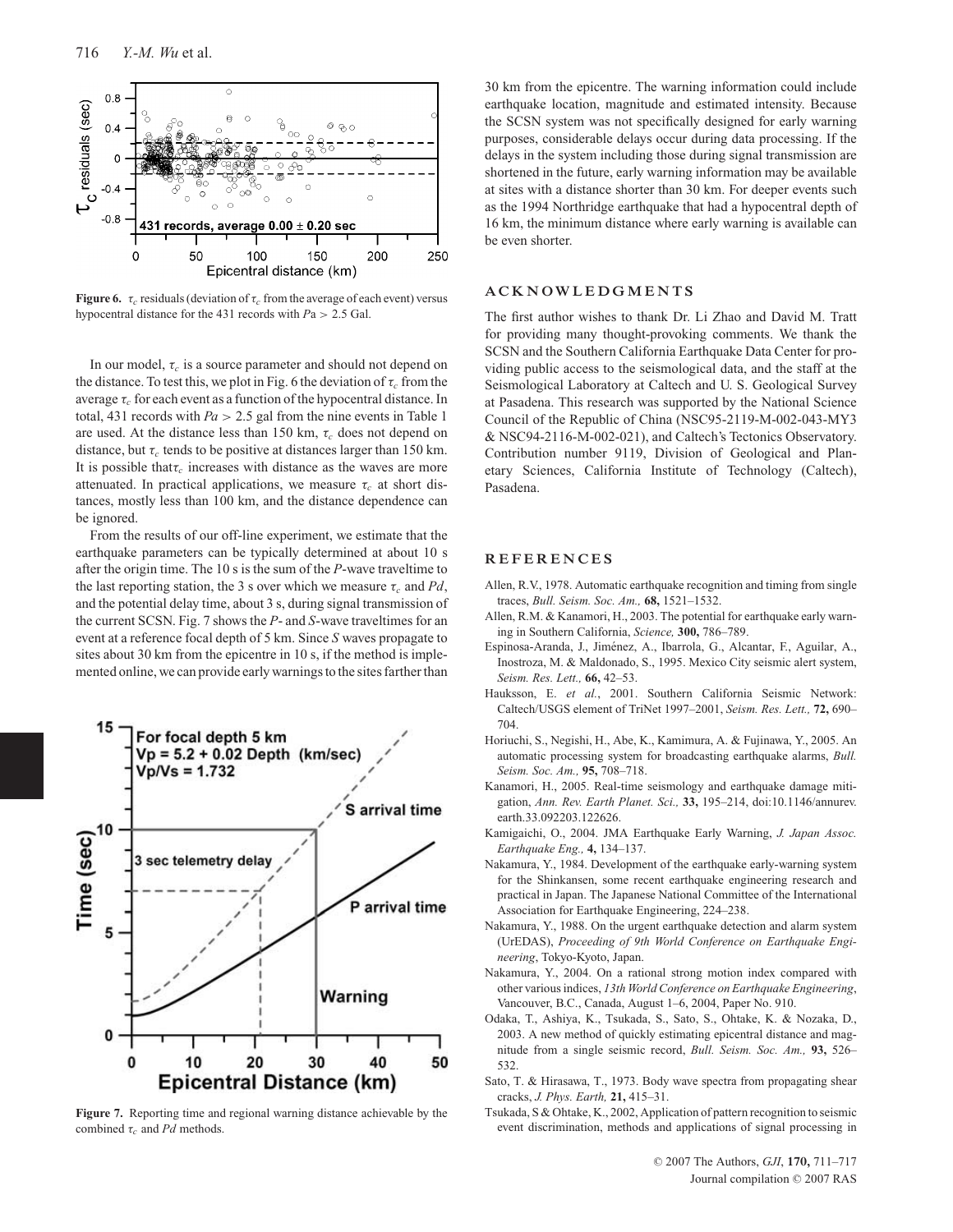

**Figure 6.**  $\tau_c$  residuals (deviation of  $\tau_c$  from the average of each event) versus hypocentral distance for the 431 records with *P*a > 2.5 Gal.

In our model,  $\tau_c$  is a source parameter and should not depend on the distance. To test this, we plot in Fig. 6 the deviation of  $\tau_c$  from the average  $\tau_c$  for each event as a function of the hypocentral distance. In total, 431 records with *Pa* > 2.5 gal from the nine events in Table 1 are used. At the distance less than 150 km,  $\tau_c$  does not depend on distance, but  $\tau_c$  tends to be positive at distances larger than 150 km. It is possible that  $\tau_c$  increases with distance as the waves are more attenuated. In practical applications, we measure  $\tau_c$  at short distances, mostly less than 100 km, and the distance dependence can be ignored.

From the results of our off-line experiment, we estimate that the earthquake parameters can be typically determined at about 10 s after the origin time. The 10 s is the sum of the *P*-wave traveltime to the last reporting station, the 3 s over which we measure  $\tau_c$  and Pd, and the potential delay time, about 3 s, during signal transmission of the current SCSN. Fig. 7 shows the *P*- and *S*-wave traveltimes for an event at a reference focal depth of 5 km. Since *S* waves propagate to sites about 30 km from the epicentre in 10 s, if the method is implemented online, we can provide early warnings to the sites farther than



**Figure 7.** Reporting time and regional warning distance achievable by the combined τ*<sup>c</sup>* and *Pd* methods.

30 km from the epicentre. The warning information could include earthquake location, magnitude and estimated intensity. Because the SCSN system was not specifically designed for early warning purposes, considerable delays occur during data processing. If the delays in the system including those during signal transmission are shortened in the future, early warning information may be available at sites with a distance shorter than 30 km. For deeper events such as the 1994 Northridge earthquake that had a hypocentral depth of 16 km, the minimum distance where early warning is available can be even shorter.

### **ACKNOWLEDGMENTS**

The first author wishes to thank Dr. Li Zhao and David M. Tratt for providing many thought-provoking comments. We thank the SCSN and the Southern California Earthquake Data Center for providing public access to the seismological data, and the staff at the Seismological Laboratory at Caltech and U. S. Geological Survey at Pasadena. This research was supported by the National Science Council of the Republic of China (NSC95-2119-M-002-043-MY3 & NSC94-2116-M-002-021), and Caltech's Tectonics Observatory. Contribution number 9119, Division of Geological and Planetary Sciences, California Institute of Technology (Caltech), Pasadena.

#### **REFERENCES**

- Allen, R.V., 1978. Automatic earthquake recognition and timing from single traces, *Bull. Seism. Soc. Am.,* **68,** 1521–1532.
- Allen, R.M. & Kanamori, H., 2003. The potential for earthquake early warning in Southern California, *Science,* **300,** 786–789.
- Espinosa-Aranda, J., Jiménez, A., Ibarrola, G., Alcantar, F., Aguilar, A., Inostroza, M. & Maldonado, S., 1995. Mexico City seismic alert system, *Seism. Res. Lett.,* **66,** 42–53.
- Hauksson, E. *et al.*, 2001. Southern California Seismic Network: Caltech/USGS element of TriNet 1997–2001, *Seism. Res. Lett.,* **72,** 690– 704.
- Horiuchi, S., Negishi, H., Abe, K., Kamimura, A. & Fujinawa, Y., 2005. An automatic processing system for broadcasting earthquake alarms, *Bull. Seism. Soc. Am.,* **95,** 708–718.
- Kanamori, H., 2005. Real-time seismology and earthquake damage mitigation, *Ann. Rev. Earth Planet. Sci.,* **33,** 195–214, doi:10.1146/annurev. earth.33.092203.122626.
- Kamigaichi, O., 2004. JMA Earthquake Early Warning, *J. Japan Assoc. Earthquake Eng.,* **4,** 134–137.
- Nakamura, Y., 1984. Development of the earthquake early-warning system for the Shinkansen, some recent earthquake engineering research and practical in Japan. The Japanese National Committee of the International Association for Earthquake Engineering, 224–238.
- Nakamura, Y., 1988. On the urgent earthquake detection and alarm system (UrEDAS), *Proceeding of 9th World Conference on Earthquake Engineering*, Tokyo-Kyoto, Japan.
- Nakamura, Y., 2004. On a rational strong motion index compared with other various indices, *13th World Conference on Earthquake Engineering*, Vancouver, B.C., Canada, August 1–6, 2004, Paper No. 910.
- Odaka, T., Ashiya, K., Tsukada, S., Sato, S., Ohtake, K. & Nozaka, D., 2003. A new method of quickly estimating epicentral distance and magnitude from a single seismic record, *Bull. Seism. Soc. Am.,* **93,** 526– 532.
- Sato, T. & Hirasawa, T., 1973. Body wave spectra from propagating shear cracks, *J. Phys. Earth,* **21,** 415–31.
- Tsukada, S & Ohtake, K., 2002, Application of pattern recognition to seismic event discrimination, methods and applications of signal processing in